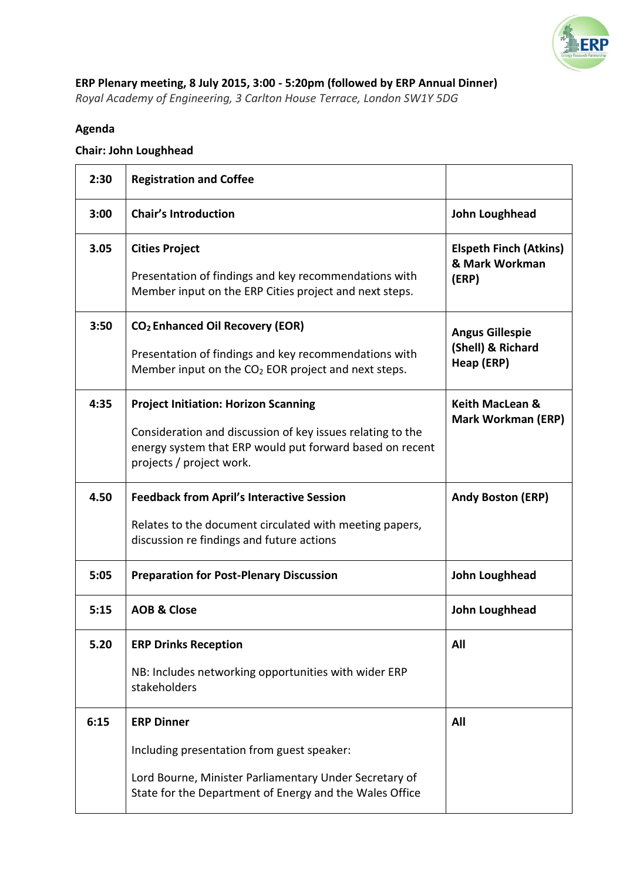

## **ERP Plenary meeting, 8 July 2015, 3:00 - 5:20pm (followed by ERP Annual Dinner)**  *Royal Academy of Engineering, 3 Carlton House Terrace, London SW1Y 5DG*

## **Agenda**

## **Chair: John Loughhead**

| 2:30 | <b>Registration and Coffee</b>                                                                                                                     |                                                 |
|------|----------------------------------------------------------------------------------------------------------------------------------------------------|-------------------------------------------------|
| 3:00 | <b>Chair's Introduction</b>                                                                                                                        | John Loughhead                                  |
| 3.05 | <b>Cities Project</b>                                                                                                                              | <b>Elspeth Finch (Atkins)</b><br>& Mark Workman |
|      | Presentation of findings and key recommendations with<br>Member input on the ERP Cities project and next steps.                                    | (ERP)                                           |
| 3:50 | CO <sub>2</sub> Enhanced Oil Recovery (EOR)                                                                                                        | <b>Angus Gillespie</b>                          |
|      | Presentation of findings and key recommendations with<br>Member input on the CO <sub>2</sub> EOR project and next steps.                           | (Shell) & Richard<br>Heap (ERP)                 |
| 4:35 | <b>Project Initiation: Horizon Scanning</b>                                                                                                        | <b>Keith MacLean &amp;</b>                      |
|      | Consideration and discussion of key issues relating to the<br>energy system that ERP would put forward based on recent<br>projects / project work. | <b>Mark Workman (ERP)</b>                       |
| 4.50 | <b>Feedback from April's Interactive Session</b>                                                                                                   | <b>Andy Boston (ERP)</b>                        |
|      | Relates to the document circulated with meeting papers,<br>discussion re findings and future actions                                               |                                                 |
| 5:05 | <b>Preparation for Post-Plenary Discussion</b>                                                                                                     | John Loughhead                                  |
| 5:15 | <b>AOB &amp; Close</b>                                                                                                                             | John Loughhead                                  |
| 5.20 | <b>ERP Drinks Reception</b>                                                                                                                        | All                                             |
|      | NB: Includes networking opportunities with wider ERP<br>stakeholders                                                                               |                                                 |
| 6:15 | <b>ERP Dinner</b>                                                                                                                                  | All                                             |
|      | Including presentation from guest speaker:                                                                                                         |                                                 |
|      | Lord Bourne, Minister Parliamentary Under Secretary of<br>State for the Department of Energy and the Wales Office                                  |                                                 |